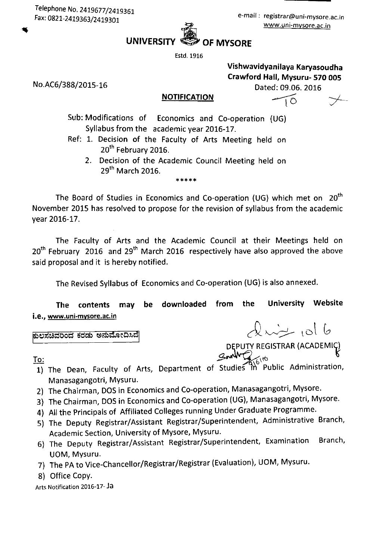No.AC6/388/2015-16

## **UNIVERSITY OF MYSORE**

Estd. 1916

Vishwavidyanilaya Karyasoudha Crawford Hall, Mysuru- 570 005 Dated: 09.06. 2016

TO

 $\omega$   $\sim$   $\omega$   $\sim$ 

DEPUTY REGISTRAR (ACADEMIC)

## **NOTIFICATION**

Sub: Modifications of Economics and Co-operation (UG) Syllabus from the academic year 2016-17.

- Ref: 1. Decision of the Faculty of Arts Meeting held on 20<sup>th</sup> February 2016.
	- 2. Decision of the Academic Council Meeting held on 29<sup>th</sup> March 2016.

\*\*\*\*\*

The Board of Studies in Economics and Co-operation (UG) which met on 20<sup>th</sup> November 2015 has resolved to propose for the revision of syllabus from the academic vear 2016-17.

The Faculty of Arts and the Academic Council at their Meetings held on 20<sup>th</sup> February 2016 and 29<sup>th</sup> March 2016 respectively have also approved the above said proposal and it is hereby notified.

The Revised Syllabus of Economics and Co-operation (UG) is also annexed.

University Website the downloaded from The contents may be i.e., www.uni-mysore.ac.in

ಕುಲಸಚಿವರಿಂದ ಕರಡು ಅನುಮೋದಿಸಿದೆ

## <u>To:</u>

- 1) The Dean, Faculty of Arts, Department of Studies m Public Administration, Manasagangotri, Mysuru.
- 2) The Chairman, DOS in Economics and Co-operation, Manasagangotri, Mysore.
- 3) The Chairman, DOS in Economics and Co-operation (UG), Manasagangotri, Mysore.
- 4) All the Principals of Affiliated Colleges running Under Graduate Programme.
- 5) The Deputy Registrar/Assistant Registrar/Superintendent, Administrative Branch, Academic Section, University of Mysore, Mysuru.
- 6) The Deputy Registrar/Assistant Registrar/Superintendent, Examination Branch, UOM, Mysuru.
- 7) The PA to Vice-Chancellor/Registrar/Registrar (Evaluation), UOM, Mysuru.
- 8) Office Copy.

Arts Notification 2016-17-Ja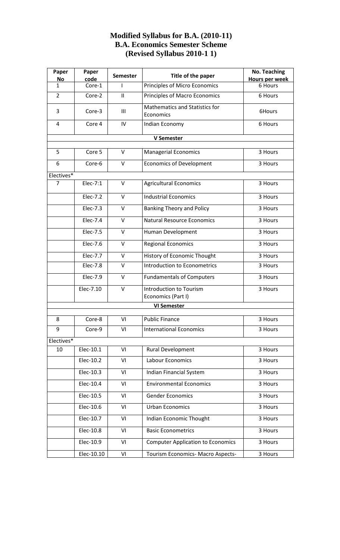## **Modified Syllabus for B.A. (2010-11) B.A. Economics Semester Scheme (Revised Syllabus 2010-1 1)**

| Paper<br>No        | Paper<br>code | <b>Semester</b> | Title of the paper                                 | <b>No. Teaching</b><br>Hours per week |
|--------------------|---------------|-----------------|----------------------------------------------------|---------------------------------------|
| 1                  | Core-1        | I.              | Principles of Micro Economics                      | 6 Hours                               |
| $\overline{2}$     | Core-2        | $\mathbf{H}$    | Principles of Macro Economics                      | 6 Hours                               |
| 3                  | Core-3        | Ш               | <b>Mathematics and Statistics for</b><br>Economics | 6Hours                                |
| 4                  | Core 4        | IV              | Indian Economy                                     | 6 Hours                               |
| <b>V Semester</b>  |               |                 |                                                    |                                       |
| 5                  | Core 5        | V               | <b>Managerial Economics</b>                        | 3 Hours                               |
| 6                  | Core-6        | $\vee$          | <b>Economics of Development</b>                    | 3 Hours                               |
| Electives*         |               |                 |                                                    |                                       |
| $\overline{7}$     | Elec-7:1      | $\vee$          | Agricultural Economics                             | 3 Hours                               |
|                    | Elec-7.2      | $\vee$          | <b>Industrial Economics</b>                        | 3 Hours                               |
|                    | $Elec-7.3$    | V               | <b>Banking Theory and Policy</b>                   | 3 Hours                               |
|                    | Elec-7.4      | $\vee$          | <b>Natural Resource Economics</b>                  | 3 Hours                               |
|                    | Elec-7.5      | $\vee$          | Human Development                                  | 3 Hours                               |
|                    | Elec-7.6      | $\vee$          | <b>Regional Economics</b>                          | 3 Hours                               |
|                    | Elec-7.7      | $\vee$          | History of Economic Thought                        | 3 Hours                               |
|                    | Elec-7.8      | V               | Introduction to Econometrics                       | 3 Hours                               |
|                    | Elec-7.9      | $\vee$          | <b>Fundamentals of Computers</b>                   | 3 Hours                               |
|                    | Elec-7.10     | $\vee$          | Introduction to Tourism<br>Economics (Part I)      | 3 Hours                               |
| <b>VI Semester</b> |               |                 |                                                    |                                       |
| 8                  | Core-8        | VI              | <b>Public Finance</b>                              | 3 Hours                               |
| 9                  | Core-9        | VI              | <b>International Economics</b>                     | 3 Hours                               |
| Electives*         |               |                 |                                                    |                                       |
| 10                 | Elec-10.1     | VI              | Rural Development                                  | 3 Hours                               |
|                    | Elec-10.2     | VI              | Labour Economics                                   | 3 Hours                               |
|                    | Elec-10.3     | VI              | Indian Financial System                            | 3 Hours                               |
|                    | Elec-10.4     | VI              | <b>Environmental Economics</b>                     | 3 Hours                               |
|                    | Elec-10.5     | VI              | <b>Gender Economics</b>                            | 3 Hours                               |
|                    | Elec-10.6     | VI              | <b>Urban Economics</b>                             | 3 Hours                               |
|                    | Elec-10.7     | VI              | Indian Economic Thought                            | 3 Hours                               |
|                    | Elec-10.8     | VI              | <b>Basic Econometrics</b>                          | 3 Hours                               |
|                    | Elec-10.9     | VI              | <b>Computer Application to Economics</b>           | 3 Hours                               |
|                    | Elec-10.10    | VI              | Tourism Economics- Macro Aspects-                  | 3 Hours                               |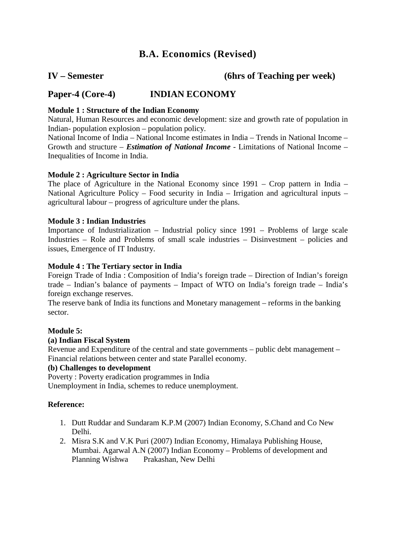## **B.A. Economics (Revised)**

## **IV – Semester (6hrs of Teaching per week)**

## **Paper-4 (Core-4) INDIAN ECONOMY**

## **Module 1 : Structure of the Indian Economy**

Natural, Human Resources and economic development: size and growth rate of population in Indian- population explosion – population policy.

National Income of India – National Income estimates in India – Trends in National Income – Growth and structure – *Estimation of National Income* - Limitations of National Income – Inequalities of Income in India.

## **Module 2 : Agriculture Sector in India**

The place of Agriculture in the National Economy since 1991 – Crop pattern in India – National Agriculture Policy – Food security in India – Irrigation and agricultural inputs – agricultural labour – progress of agriculture under the plans.

## **Module 3 : Indian Industries**

Importance of Industrialization – Industrial policy since 1991 – Problems of large scale Industries – Role and Problems of small scale industries – Disinvestment – policies and issues, Emergence of IT Industry.

## **Module 4 : The Tertiary sector in India**

Foreign Trade of India : Composition of India's foreign trade – Direction of Indian's foreign trade – Indian's balance of payments – Impact of WTO on India's foreign trade – India's foreign exchange reserves.

The reserve bank of India its functions and Monetary management – reforms in the banking sector.

## **Module 5:**

## **(a) Indian Fiscal System**

Revenue and Expenditure of the central and state governments – public debt management – Financial relations between center and state Parallel economy.

## **(b) Challenges to development**

Poverty : Poverty eradication programmes in India

Unemployment in India, schemes to reduce unemployment.

## **Reference:**

- 1. Dutt Ruddar and Sundaram K.P.M (2007) Indian Economy, S.Chand and Co New Delhi.
- 2. Misra S.K and V.K Puri (2007) Indian Economy, Himalaya Publishing House, Mumbai. Agarwal A.N (2007) Indian Economy – Problems of development and Planning Wishwa Prakashan, New Delhi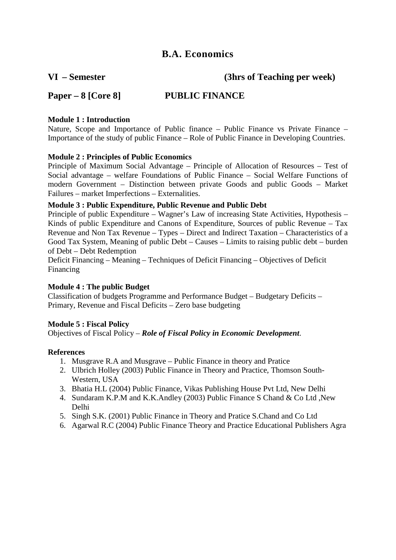**VI – Semester (3hrs of Teaching per week)**

## **Paper – 8 [Core 8] PUBLIC FINANCE**

## **Module 1 : Introduction**

Nature, Scope and Importance of Public finance – Public Finance vs Private Finance – Importance of the study of public Finance – Role of Public Finance in Developing Countries.

## **Module 2 : Principles of Public Economics**

Principle of Maximum Social Advantage – Principle of Allocation of Resources – Test of Social advantage – welfare Foundations of Public Finance – Social Welfare Functions of modern Government – Distinction between private Goods and public Goods – Market Failures – market Imperfections – Externalities.

## **Module 3 : Public Expenditure, Public Revenue and Public Debt**

Principle of public Expenditure – Wagner's Law of increasing State Activities, Hypothesis – Kinds of public Expenditure and Canons of Expenditure, Sources of public Revenue – Tax Revenue and Non Tax Revenue – Types – Direct and Indirect Taxation – Characteristics of a Good Tax System, Meaning of public Debt – Causes – Limits to raising public debt – burden of Debt – Debt Redemption

Deficit Financing – Meaning – Techniques of Deficit Financing – Objectives of Deficit Financing

## **Module 4 : The public Budget**

Classification of budgets Programme and Performance Budget – Budgetary Deficits – Primary, Revenue and Fiscal Deficits – Zero base budgeting

## **Module 5 : Fiscal Policy**

Objectives of Fiscal Policy – *Role of Fiscal Policy in Economic Development*.

## **References**

- 1. Musgrave R.A and Musgrave Public Finance in theory and Pratice
- 2. Ulbrich Holley (2003) Public Finance in Theory and Practice, Thomson South-Western, USA
- 3. Bhatia H.L (2004) Public Finance, Vikas Publishing House Pvt Ltd, New Delhi
- 4. Sundaram K.P.M and K.K.Andley (2003) Public Finance S Chand & Co Ltd ,New Delhi
- 5. Singh S.K. (2001) Public Finance in Theory and Pratice S.Chand and Co Ltd
- 6. Agarwal R.C (2004) Public Finance Theory and Practice Educational Publishers Agra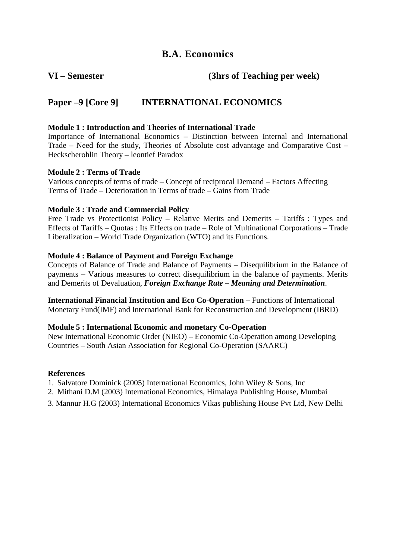**VI – Semester (3hrs of Teaching per week)** 

## **Paper –9 [Core 9] INTERNATIONAL ECONOMICS**

## **Module 1 : Introduction and Theories of International Trade**

Importance of International Economics – Distinction between Internal and International Trade – Need for the study, Theories of Absolute cost advantage and Comparative Cost – Heckscherohlin Theory – leontief Paradox

## **Module 2 : Terms of Trade**

Various concepts of terms of trade – Concept of reciprocal Demand – Factors Affecting Terms of Trade – Deterioration in Terms of trade – Gains from Trade

## **Module 3 : Trade and Commercial Policy**

Free Trade vs Protectionist Policy – Relative Merits and Demerits – Tariffs : Types and Effects of Tariffs – Quotas : Its Effects on trade – Role of Multinational Corporations – Trade Liberalization – World Trade Organization (WTO) and its Functions.

## **Module 4 : Balance of Payment and Foreign Exchange**

Concepts of Balance of Trade and Balance of Payments – Disequilibrium in the Balance of payments – Various measures to correct disequilibrium in the balance of payments. Merits and Demerits of Devaluation, *Foreign Exchange Rate – Meaning and Determination*.

**International Financial Institution and Eco Co-Operation –** Functions of International Monetary Fund(IMF) and International Bank for Reconstruction and Development (IBRD)

## **Module 5 : International Economic and monetary Co-Operation**

New International Economic Order (NIEO) – Economic Co-Operation among Developing Countries – South Asian Association for Regional Co-Operation (SAARC)

## **References**

1. Salvatore Dominick (2005) International Economics, John Wiley & Sons, Inc

2. Mithani D.M (2003) International Economics, Himalaya Publishing House, Mumbai

3. Mannur H.G (2003) International Economics Vikas publishing House Pvt Ltd, New Delhi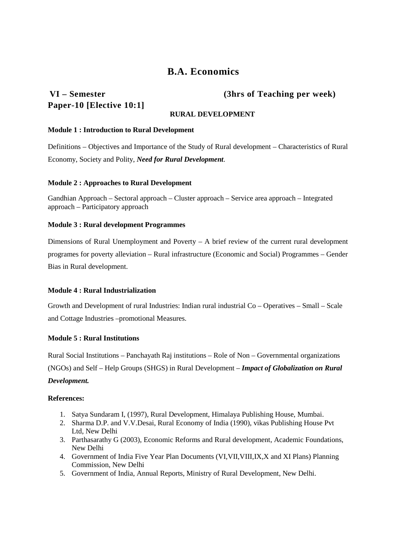# **Paper-10 [Elective 10:1]**

## **VI – Semester (3hrs of Teaching per week)**

## **RURAL DEVELOPMENT**

## **Module 1 : Introduction to Rural Development**

Definitions – Objectives and Importance of the Study of Rural development – Characteristics of Rural Economy, Society and Polity, *Need for Rural Development*.

### **Module 2 : Approaches to Rural Development**

Gandhian Approach – Sectoral approach – Cluster approach – Service area approach – Integrated approach – Participatory approach

### **Module 3 : Rural development Programmes**

Dimensions of Rural Unemployment and Poverty – A brief review of the current rural development programes for poverty alleviation – Rural infrastructure (Economic and Social) Programmes – Gender Bias in Rural development.

## **Module 4 : Rural Industrialization**

Growth and Development of rural Industries: Indian rural industrial Co – Operatives – Small – Scale and Cottage Industries –promotional Measures.

## **Module 5 : Rural Institutions**

Rural Social Institutions – Panchayath Raj institutions – Role of Non – Governmental organizations (NGOs) and Self – Help Groups (SHGS) in Rural Development – *Impact of Globalization on Rural Development.* 

## **References:**

- 1. Satya Sundaram I, (1997), Rural Development, Himalaya Publishing House, Mumbai.
- 2. Sharma D.P. and V.V.Desai, Rural Economy of India (1990), vikas Publishing House Pvt Ltd, New Delhi
- 3. Parthasarathy G (2003), Economic Reforms and Rural development, Academic Foundations, New Delhi
- 4. Government of India Five Year Plan Documents (VI,VII,VIII,IX,X and XI Plans) Planning Commission, New Delhi
- 5. Government of India, Annual Reports, Ministry of Rural Development, New Delhi.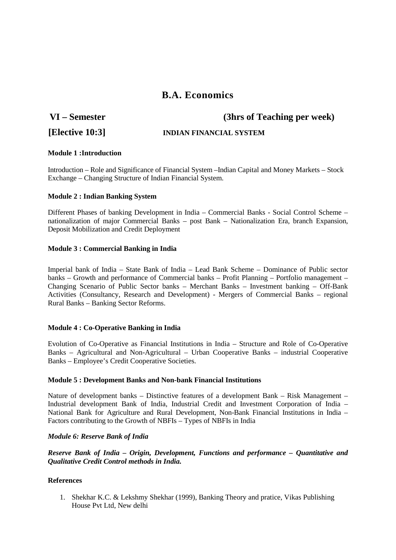**VI – Semester (3hrs of Teaching per week)**

## **[Elective 10:3] INDIAN FINANCIAL SYSTEM**

#### **Module 1 :Introduction**

Introduction – Role and Significance of Financial System –Indian Capital and Money Markets – Stock Exchange – Changing Structure of Indian Financial System.

#### **Module 2 : Indian Banking System**

Different Phases of banking Development in India – Commercial Banks - Social Control Scheme – nationalization of major Commercial Banks – post Bank – Nationalization Era, branch Expansion, Deposit Mobilization and Credit Deployment

### **Module 3 : Commercial Banking in India**

Imperial bank of India – State Bank of India – Lead Bank Scheme – Dominance of Public sector banks – Growth and performance of Commercial banks – Profit Planning – Portfolio management – Changing Scenario of Public Sector banks – Merchant Banks – Investment banking – Off-Bank Activities (Consultancy, Research and Development) - Mergers of Commercial Banks – regional Rural Banks – Banking Sector Reforms.

#### **Module 4 : Co-Operative Banking in India**

Evolution of Co-Operative as Financial Institutions in India – Structure and Role of Co-Operative Banks – Agricultural and Non-Agricultural – Urban Cooperative Banks – industrial Cooperative Banks – Employee's Credit Cooperative Societies.

#### **Module 5 : Development Banks and Non-bank Financial Institutions**

Nature of development banks – Distinctive features of a development Bank – Risk Management – Industrial development Bank of India, Industrial Credit and Investment Corporation of India – National Bank for Agriculture and Rural Development, Non-Bank Financial Institutions in India – Factors contributing to the Growth of NBFIs – Types of NBFIs in India

#### *Module 6: Reserve Bank of India*

*Reserve Bank of India – Origin, Development, Functions and performance – Quantitative and Qualitative Credit Control methods in India.*

#### **References**

1. Shekhar K.C. & Lekshmy Shekhar (1999), Banking Theory and pratice, Vikas Publishing House Pvt Ltd, New delhi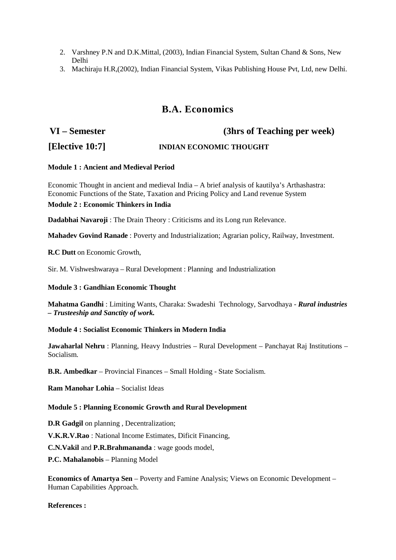- 2. Varshney P.N and D.K.Mittal, (2003), Indian Financial System, Sultan Chand & Sons, New Delhi
- 3. Machiraju H.R,(2002), Indian Financial System, Vikas Publishing House Pvt, Ltd, new Delhi.

# **VI – Semester (3hrs of Teaching per week)**

## **[Elective 10:7] INDIAN ECONOMIC THOUGHT**

### **Module 1 : Ancient and Medieval Period**

Economic Thought in ancient and medieval India – A brief analysis of kautilya's Arthashastra: Economic Functions of the State, Taxation and Pricing Policy and Land revenue System

### **Module 2 : Economic Thinkers in India**

**Dadabhai Navaroji** : The Drain Theory : Criticisms and its Long run Relevance.

**Mahadev Govind Ranade** : Poverty and Industrialization; Agrarian policy, Railway, Investment.

**R.C Dutt** on Economic Growth,

Sir. M. Vishweshwaraya – Rural Development : Planning and Industrialization

## **Module 3 : Gandhian Economic Thought**

**Mahatma Gandhi** : Limiting Wants, Charaka: Swadeshi Technology, Sarvodhaya - *Rural industries – Trusteeship and Sanctity of work.*

#### **Module 4 : Socialist Economic Thinkers in Modern India**

**Jawaharlal Nehru** : Planning, Heavy Industries – Rural Development – Panchayat Raj Institutions – Socialism.

**B.R. Ambedkar** – Provincial Finances – Small Holding - State Socialism.

**Ram Manohar Lohia** – Socialist Ideas

## **Module 5 : Planning Economic Growth and Rural Development**

**D.R Gadgil** on planning , Decentralization;

**V.K.R.V.Rao** : National Income Estimates, Dificit Financing,

**C.N.Vakil** and **P.R.Brahmananda** : wage goods model,

**P.C. Mahalanobis** – Planning Model

**Economics of Amartya Sen** – Poverty and Famine Analysis; Views on Economic Development – Human Capabilities Approach.

**References :**